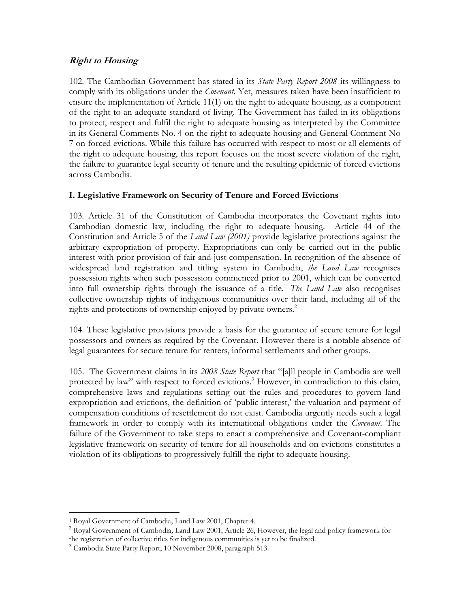#### **Right to Housing**

102. The Cambodian Government has stated in its *State Party Report 2008* its willingness to comply with its obligations under the *Covenant*. Yet, measures taken have been insufficient to ensure the implementation of Article 11(1) on the right to adequate housing, as a component of the right to an adequate standard of living. The Government has failed in its obligations to protect, respect and fulfil the right to adequate housing as interpreted by the Committee in its General Comments No. 4 on the right to adequate housing and General Comment No 7 on forced evictions. While this failure has occurred with respect to most or all elements of the right to adequate housing, this report focuses on the most severe violation of the right, the failure to guarantee legal security of tenure and the resulting epidemic of forced evictions across Cambodia.

#### **I. Legislative Framework on Security of Tenure and Forced Evictions**

103. Article 31 of the Constitution of Cambodia incorporates the Covenant rights into Cambodian domestic law, including the right to adequate housing. Article 44 of the Constitution and Article 5 of the *Land Law (2001)* provide legislative protections against the arbitrary expropriation of property. Expropriations can only be carried out in the public interest with prior provision of fair and just compensation. In recognition of the absence of widespread land registration and titling system in Cambodia, *the Land Law* recognises possession rights when such possession commenced prior to 2001, which can be converted into full ownership rights through the issuance of a title.<sup>1</sup> *The Land Law* also recognises collective ownership rights of indigenous communities over their land, including all of the rights and protections of ownership enjoyed by private owners.<sup>2</sup>

104. These legislative provisions provide a basis for the guarantee of secure tenure for legal possessors and owners as required by the Covenant. However there is a notable absence of legal guarantees for secure tenure for renters, informal settlements and other groups.

105. The Government claims in its *2008 State Report* that "[a]ll people in Cambodia are well protected by law" with respect to forced evictions.<sup>3</sup> However, in contradiction to this claim, comprehensive laws and regulations setting out the rules and procedures to govern land expropriation and evictions, the definition of 'public interest,' the valuation and payment of compensation conditions of resettlement do not exist. Cambodia urgently needs such a legal framework in order to comply with its international obligations under the *Covenant.* The failure of the Government to take steps to enact a comprehensive and Covenant-compliant legislative framework on security of tenure for all households and on evictions constitutes a violation of its obligations to progressively fulfill the right to adequate housing.

l

<sup>&</sup>lt;sup>1</sup> Royal Government of Cambodia, Land Law 2001, Chapter 4.  $\frac{2}{\text{Royal Government of Cambodia, Land Law 2001, Article 26, However, the legal and policy framework for }$ the registration of collective titles for indigenous communities is yet to be finalized.

<sup>&</sup>lt;sup>3</sup> Cambodia State Party Report, 10 November 2008, paragraph 513.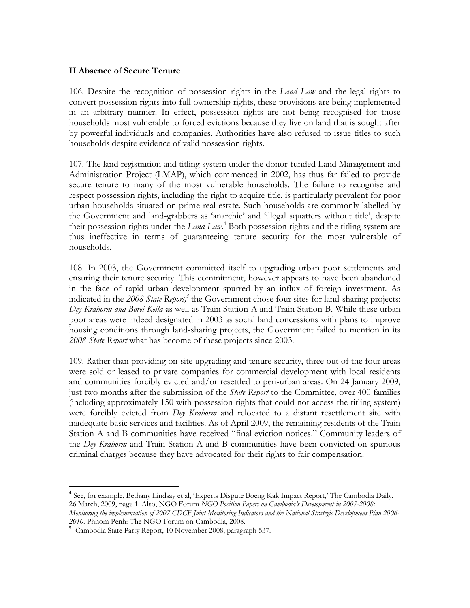#### **II Absence of Secure Tenure**

106. Despite the recognition of possession rights in the *Land Law* and the legal rights to convert possession rights into full ownership rights, these provisions are being implemented in an arbitrary manner. In effect, possession rights are not being recognised for those households most vulnerable to forced evictions because they live on land that is sought after by powerful individuals and companies. Authorities have also refused to issue titles to such households despite evidence of valid possession rights.

107. The land registration and titling system under the donor-funded Land Management and Administration Project (LMAP), which commenced in 2002, has thus far failed to provide secure tenure to many of the most vulnerable households. The failure to recognise and respect possession rights, including the right to acquire title, is particularly prevalent for poor urban households situated on prime real estate. Such households are commonly labelled by the Government and land-grabbers as 'anarchic' and 'illegal squatters without title', despite their possession rights under the *Land Law*. 4 Both possession rights and the titling system are thus ineffective in terms of guaranteeing tenure security for the most vulnerable of households.

108. In 2003, the Government committed itself to upgrading urban poor settlements and ensuring their tenure security. This commitment, however appears to have been abandoned in the face of rapid urban development spurred by an influx of foreign investment. As indicated in the 2008 State Report,<sup>5</sup> the Government chose four sites for land-sharing projects: *Dey Krahorm and Borei Keila* as well as Train Station-A and Train Station-B. While these urban poor areas were indeed designated in 2003 as social land concessions with plans to improve housing conditions through land-sharing projects, the Government failed to mention in its *2008 State Report* what has become of these projects since 2003.

109. Rather than providing on-site upgrading and tenure security, three out of the four areas were sold or leased to private companies for commercial development with local residents and communities forcibly evicted and/or resettled to peri-urban areas. On 24 January 2009, just two months after the submission of the *State Report* to the Committee, over 400 families (including approximately 150 with possession rights that could not access the titling system) were forcibly evicted from *Dey Krahorm* and relocated to a distant resettlement site with inadequate basic services and facilities. As of April 2009, the remaining residents of the Train Station A and B communities have received "final eviction notices." Community leaders of the *Dey Krahorm* and Train Station A and B communities have been convicted on spurious criminal charges because they have advocated for their rights to fair compensation.

l

<sup>&</sup>lt;sup>4</sup> See, for example, Bethany Lindsay et al, 'Experts Dispute Boeng Kak Impact Report,' The Cambodia Daily, 26 March, 2009, page 1. Also, NGO Forum *NGO Position Papers on Cambodia's Development in 2007-2008: Monitoring the implementation of 2007 CDCF Joint Monitoring Indicators and the National Strategic Development Plan 2006-*

*<sup>2010</sup>*. Phnom Penh: The NGO Forum on Cambodia, 2008. <sup>5</sup> Cambodia State Party Report, 10 November 2008, paragraph 537.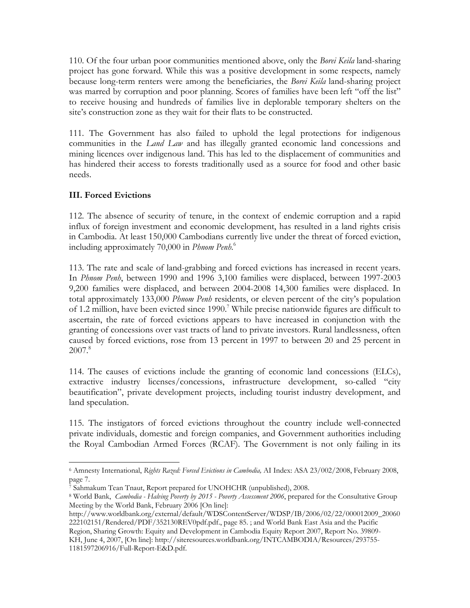110. Of the four urban poor communities mentioned above, only the *Borei Keila* land-sharing project has gone forward. While this was a positive development in some respects, namely because long-term renters were among the beneficiaries, the *Borei Keila* land-sharing project was marred by corruption and poor planning. Scores of families have been left "off the list" to receive housing and hundreds of families live in deplorable temporary shelters on the site's construction zone as they wait for their flats to be constructed.

111. The Government has also failed to uphold the legal protections for indigenous communities in the *Land Law* and has illegally granted economic land concessions and mining licences over indigenous land. This has led to the displacement of communities and has hindered their access to forests traditionally used as a source for food and other basic needs.

## **III. Forced Evictions**

l

112. The absence of security of tenure, in the context of endemic corruption and a rapid influx of foreign investment and economic development, has resulted in a land rights crisis in Cambodia. At least 150,000 Cambodians currently live under the threat of forced eviction, including approximately 70,000 in *Phnom Penh*. 6

113. The rate and scale of land-grabbing and forced evictions has increased in recent years. In *Phnom Penh*, between 1990 and 1996 3,100 families were displaced, between 1997-2003 9,200 families were displaced, and between 2004-2008 14,300 families were displaced. In total approximately 133,000 *Phnom Penh* residents, or eleven percent of the city's population of 1.2 million, have been evicted since 1990.<sup>7</sup> While precise nationwide figures are difficult to ascertain, the rate of forced evictions appears to have increased in conjunction with the granting of concessions over vast tracts of land to private investors. Rural landlessness, often caused by forced evictions, rose from 13 percent in 1997 to between 20 and 25 percent in  $2007$ .<sup>8</sup>

114. The causes of evictions include the granting of economic land concessions (ELCs), extractive industry licenses/concessions, infrastructure development, so-called "city beautification", private development projects, including tourist industry development, and land speculation.

115. The instigators of forced evictions throughout the country include well-connected private individuals, domestic and foreign companies, and Government authorities including the Royal Cambodian Armed Forces (RCAF). The Government is not only failing in its

<sup>6</sup> Amnesty International, *Rights Razed: Forced Evictions in Cambodia,* AI Index: ASA 23/002/2008, February 2008, page 7.

<sup>&</sup>lt;sup>7</sup> Sahmakum Tean Tnaut, Report prepared for UNOHCHR (unpublished), 2008.<br><sup>8</sup> World Bank, *Cambodia - Halving Poverty by 2015 - Poverty Assessment 2006*, prepared for the Consultative Group Meeting by the World Bank, February 2006 [On line]:

http://www.worldbank.org/external/default/WDSContentServer/WDSP/IB/2006/02/22/000012009\_20060 222102151/Rendered/PDF/352130REV0pdf.pdf., page 85. ; and World Bank East Asia and the Pacific Region, Sharing Growth: Equity and Development in Cambodia Equity Report 2007, Report No. 39809-

KH, June 4, 2007, [On line]: http://siteresources.worldbank.org/INTCAMBODIA/Resources/293755- 1181597206916/Full-Report-E&D.pdf.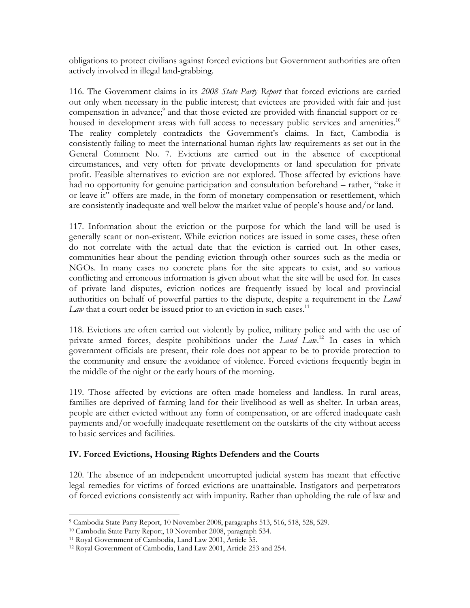obligations to protect civilians against forced evictions but Government authorities are often actively involved in illegal land-grabbing.

116. The Government claims in its *2008 State Party Report* that forced evictions are carried out only when necessary in the public interest; that evictees are provided with fair and just compensation in advance;<sup>9</sup> and that those evicted are provided with financial support or rehoused in development areas with full access to necessary public services and amenities.<sup>10</sup> The reality completely contradicts the Government's claims. In fact, Cambodia is consistently failing to meet the international human rights law requirements as set out in the General Comment No. 7. Evictions are carried out in the absence of exceptional circumstances, and very often for private developments or land speculation for private profit. Feasible alternatives to eviction are not explored. Those affected by evictions have had no opportunity for genuine participation and consultation beforehand – rather, "take it or leave it" offers are made, in the form of monetary compensation or resettlement, which are consistently inadequate and well below the market value of people's house and/or land.

117. Information about the eviction or the purpose for which the land will be used is generally scant or non-existent. While eviction notices are issued in some cases, these often do not correlate with the actual date that the eviction is carried out. In other cases, communities hear about the pending eviction through other sources such as the media or NGOs. In many cases no concrete plans for the site appears to exist, and so various conflicting and erroneous information is given about what the site will be used for. In cases of private land disputes, eviction notices are frequently issued by local and provincial authorities on behalf of powerful parties to the dispute, despite a requirement in the *Land Law* that a court order be issued prior to an eviction in such cases.<sup>11</sup>

118. Evictions are often carried out violently by police, military police and with the use of private armed forces, despite prohibitions under the *Land Law*. 12 In cases in which government officials are present, their role does not appear to be to provide protection to the community and ensure the avoidance of violence. Forced evictions frequently begin in the middle of the night or the early hours of the morning.

119. Those affected by evictions are often made homeless and landless. In rural areas, families are deprived of farming land for their livelihood as well as shelter. In urban areas, people are either evicted without any form of compensation, or are offered inadequate cash payments and/or woefully inadequate resettlement on the outskirts of the city without access to basic services and facilities.

## **IV. Forced Evictions, Housing Rights Defenders and the Courts**

120. The absence of an independent uncorrupted judicial system has meant that effective legal remedies for victims of forced evictions are unattainable. Instigators and perpetrators of forced evictions consistently act with impunity. Rather than upholding the rule of law and

l 9 Cambodia State Party Report, 10 November 2008, paragraphs 513, 516, 518, 528, 529. 10 Cambodia State Party Report, 10 November 2008, paragraph 534. 11 Royal Government of Cambodia, Land Law 2001, Article 35.

<sup>12</sup> Royal Government of Cambodia, Land Law 2001, Article 253 and 254.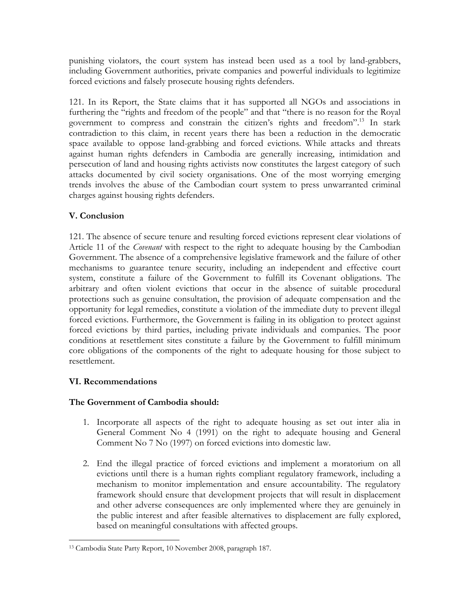punishing violators, the court system has instead been used as a tool by land-grabbers, including Government authorities, private companies and powerful individuals to legitimize forced evictions and falsely prosecute housing rights defenders.

121. In its Report, the State claims that it has supported all NGOs and associations in furthering the "rights and freedom of the people" and that "there is no reason for the Royal government to compress and constrain the citizen's rights and freedom".<sup>13</sup> In stark contradiction to this claim, in recent years there has been a reduction in the democratic space available to oppose land-grabbing and forced evictions. While attacks and threats against human rights defenders in Cambodia are generally increasing, intimidation and persecution of land and housing rights activists now constitutes the largest category of such attacks documented by civil society organisations. One of the most worrying emerging trends involves the abuse of the Cambodian court system to press unwarranted criminal charges against housing rights defenders.

# **V. Conclusion**

121. The absence of secure tenure and resulting forced evictions represent clear violations of Article 11 of the *Covenant* with respect to the right to adequate housing by the Cambodian Government. The absence of a comprehensive legislative framework and the failure of other mechanisms to guarantee tenure security, including an independent and effective court system, constitute a failure of the Government to fulfill its Covenant obligations. The arbitrary and often violent evictions that occur in the absence of suitable procedural protections such as genuine consultation, the provision of adequate compensation and the opportunity for legal remedies, constitute a violation of the immediate duty to prevent illegal forced evictions. Furthermore, the Government is failing in its obligation to protect against forced evictions by third parties, including private individuals and companies. The poor conditions at resettlement sites constitute a failure by the Government to fulfill minimum core obligations of the components of the right to adequate housing for those subject to resettlement.

## **VI. Recommendations**

## **The Government of Cambodia should:**

- 1. Incorporate all aspects of the right to adequate housing as set out inter alia in General Comment No 4 (1991) on the right to adequate housing and General Comment No 7 No (1997) on forced evictions into domestic law.
- 2. End the illegal practice of forced evictions and implement a moratorium on all evictions until there is a human rights compliant regulatory framework, including a mechanism to monitor implementation and ensure accountability. The regulatory framework should ensure that development projects that will result in displacement and other adverse consequences are only implemented where they are genuinely in the public interest and after feasible alternatives to displacement are fully explored, based on meaningful consultations with affected groups.

l 13 Cambodia State Party Report, 10 November 2008, paragraph 187.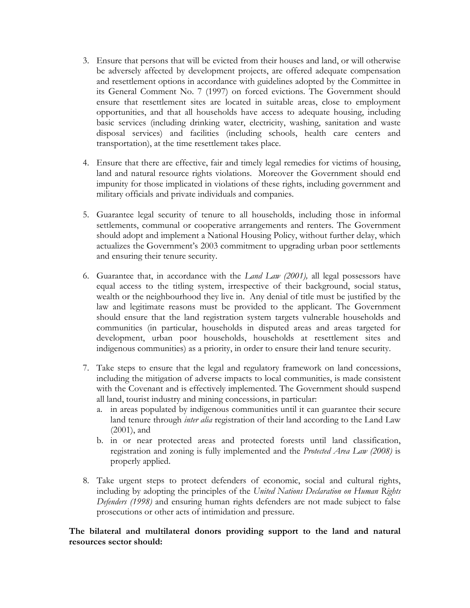- 3. Ensure that persons that will be evicted from their houses and land, or will otherwise be adversely affected by development projects, are offered adequate compensation and resettlement options in accordance with guidelines adopted by the Committee in its General Comment No. 7 (1997) on forced evictions. The Government should ensure that resettlement sites are located in suitable areas, close to employment opportunities, and that all households have access to adequate housing, including basic services (including drinking water, electricity, washing, sanitation and waste disposal services) and facilities (including schools, health care centers and transportation), at the time resettlement takes place.
- 4. Ensure that there are effective, fair and timely legal remedies for victims of housing, land and natural resource rights violations. Moreover the Government should end impunity for those implicated in violations of these rights, including government and military officials and private individuals and companies.
- 5. Guarantee legal security of tenure to all households, including those in informal settlements, communal or cooperative arrangements and renters. The Government should adopt and implement a National Housing Policy, without further delay, which actualizes the Government's 2003 commitment to upgrading urban poor settlements and ensuring their tenure security.
- 6. Guarantee that, in accordance with the *Land Law (2001),* all legal possessors have equal access to the titling system, irrespective of their background, social status, wealth or the neighbourhood they live in. Any denial of title must be justified by the law and legitimate reasons must be provided to the applicant. The Government should ensure that the land registration system targets vulnerable households and communities (in particular, households in disputed areas and areas targeted for development, urban poor households, households at resettlement sites and indigenous communities) as a priority, in order to ensure their land tenure security.
- 7. Take steps to ensure that the legal and regulatory framework on land concessions, including the mitigation of adverse impacts to local communities, is made consistent with the Covenant and is effectively implemented. The Government should suspend all land, tourist industry and mining concessions, in particular:
	- a. in areas populated by indigenous communities until it can guarantee their secure land tenure through *inter alia* registration of their land according to the Land Law (2001), and
	- b. in or near protected areas and protected forests until land classification, registration and zoning is fully implemented and the *Protected Area Law (2008)* is properly applied.
- 8. Take urgent steps to protect defenders of economic, social and cultural rights, including by adopting the principles of the *United Nations Declaration on Human Rights Defenders (1998)* and ensuring human rights defenders are not made subject to false prosecutions or other acts of intimidation and pressure.

#### **The bilateral and multilateral donors providing support to the land and natural resources sector should:**